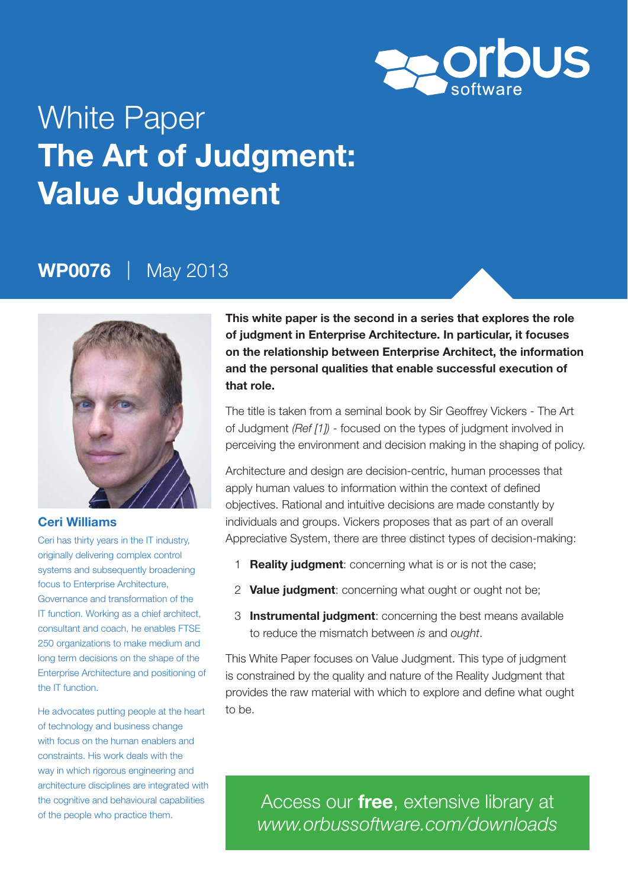

# White Paper **The Art of Judgment: Value Judgment**

## **WP0076** | May 2013



#### **Ceri Williams**

Ceri has thirty years in the IT industry, originally delivering complex control systems and subsequently broadening focus to Enterprise Architecture. Governance and transformation of the IT function. Working as a chief architect, consultant and coach, he enables FTSE 250 organizations to make medium and long term decisions on the shape of the Enterprise Architecture and positioning of the IT function.

He advocates putting people at the heart of technology and business change with focus on the human enablers and constraints. His work deals with the way in which rigorous engineering and architecture disciplines are integrated with the cognitive and behavioural capabilities of the people who practice them.

**This white paper is the second in a series that explores the role of judgment in Enterprise Architecture. In particular, it focuses on the relationship between Enterprise Architect, the information and the personal qualities that enable successful execution of that role.** 

The title is taken from a seminal book by Sir Geoffrey Vickers - The Art of Judgment *(Ref [1])* - focused on the types of judgment involved in perceiving the environment and decision making in the shaping of policy.

Architecture and design are decision-centric, human processes that apply human values to information within the context of defined objectives. Rational and intuitive decisions are made constantly by individuals and groups. Vickers proposes that as part of an overall Appreciative System, there are three distinct types of decision-making:

- 1 **Reality judgment**: concerning what is or is not the case;
- 2 **Value judgment**: concerning what ought or ought not be;
- 3 **Instrumental judgment**: concerning the best means available to reduce the mismatch between *is* and *ought*.

This White Paper focuses on Value Judgment. This type of judgment is constrained by the quality and nature of the Reality Judgment that provides the raw material with which to explore and define what ought to be.

Access our **free**, extensive library at *www.orbussoftware.com/downloads*

© Orbus Software 2013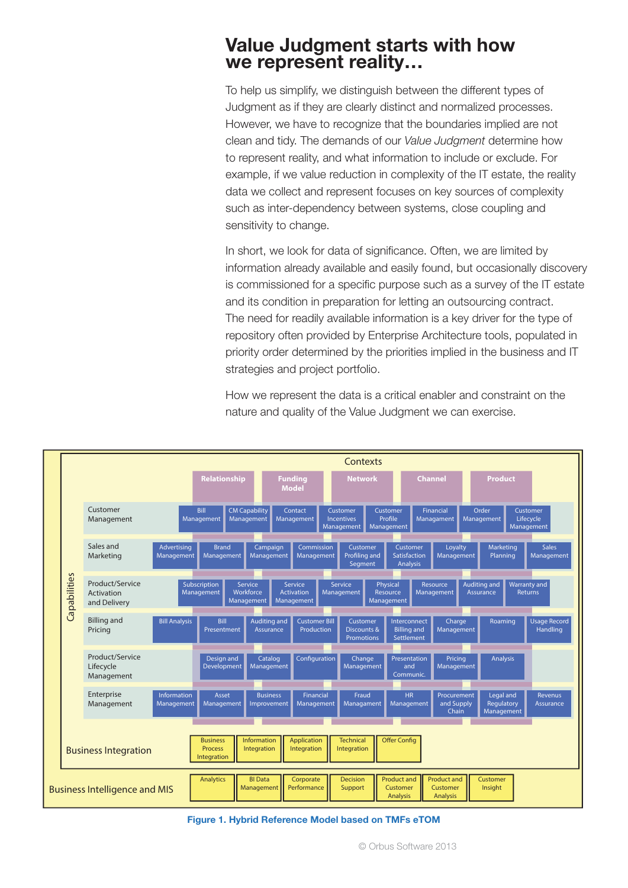#### **Value Judgment starts with how we represent reality…**

To help us simplify, we distinguish between the different types of Judgment as if they are clearly distinct and normalized processes. However, we have to recognize that the boundaries implied are not clean and tidy. The demands of our *Value Judgment* determine how to represent reality, and what information to include or exclude. For example, if we value reduction in complexity of the IT estate, the reality data we collect and represent focuses on key sources of complexity such as inter-dependency between systems, close coupling and sensitivity to change.

In short, we look for data of significance. Often, we are limited by information already available and easily found, but occasionally discovery is commissioned for a specific purpose such as a survey of the IT estate and its condition in preparation for letting an outsourcing contract. The need for readily available information is a key driver for the type of repository often provided by Enterprise Architecture tools, populated in priority order determined by the priorities implied in the business and IT strategies and project portfolio.

How we represent the data is a critical enabler and constraint on the nature and quality of the Value Judgment we can exercise.



**Figure 1. Hybrid Reference Model based on TMFs eTOM**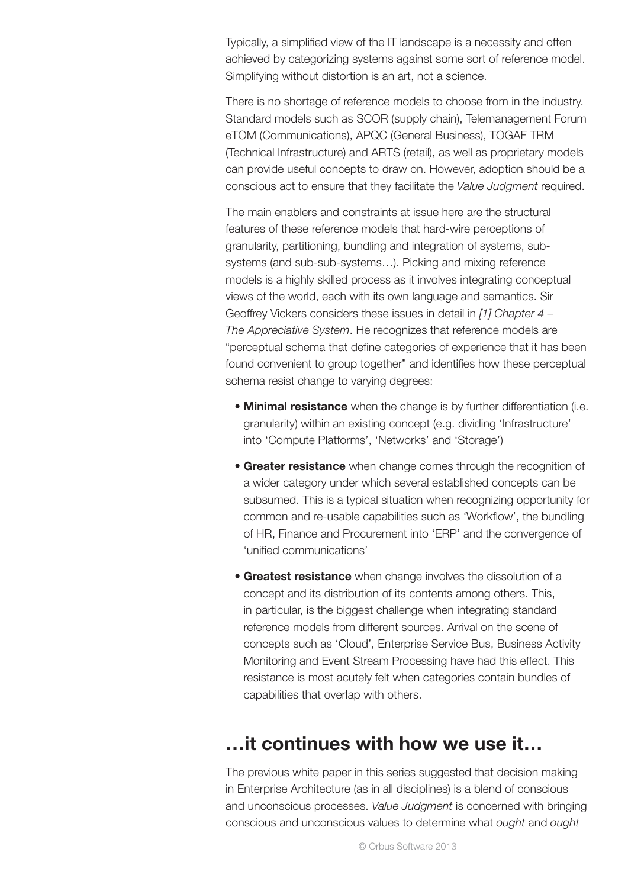Typically, a simplified view of the IT landscape is a necessity and often achieved by categorizing systems against some sort of reference model. Simplifying without distortion is an art, not a science.

There is no shortage of reference models to choose from in the industry. Standard models such as SCOR (supply chain), Telemanagement Forum eTOM (Communications), APQC (General Business), TOGAF TRM (Technical Infrastructure) and ARTS (retail), as well as proprietary models can provide useful concepts to draw on. However, adoption should be a conscious act to ensure that they facilitate the *Value Judgment* required.

The main enablers and constraints at issue here are the structural features of these reference models that hard-wire perceptions of granularity, partitioning, bundling and integration of systems, subsystems (and sub-sub-systems…). Picking and mixing reference models is a highly skilled process as it involves integrating conceptual views of the world, each with its own language and semantics. Sir Geoffrey Vickers considers these issues in detail in *[1] Chapter 4 – The Appreciative System*. He recognizes that reference models are "perceptual schema that define categories of experience that it has been found convenient to group together" and identifies how these perceptual schema resist change to varying degrees:

- **Minimal resistance** when the change is by further differentiation (i.e. granularity) within an existing concept (e.g. dividing 'Infrastructure' into 'Compute Platforms', 'Networks' and 'Storage')
- **Greater resistance** when change comes through the recognition of a wider category under which several established concepts can be subsumed. This is a typical situation when recognizing opportunity for common and re-usable capabilities such as 'Workflow', the bundling of HR, Finance and Procurement into 'ERP' and the convergence of 'unified communications'
- **Greatest resistance** when change involves the dissolution of a concept and its distribution of its contents among others. This, in particular, is the biggest challenge when integrating standard reference models from different sources. Arrival on the scene of concepts such as 'Cloud', Enterprise Service Bus, Business Activity Monitoring and Event Stream Processing have had this effect. This resistance is most acutely felt when categories contain bundles of capabilities that overlap with others.

### **…it continues with how we use it…**

The previous white paper in this series suggested that decision making in Enterprise Architecture (as in all disciplines) is a blend of conscious and unconscious processes. *Value Judgment* is concerned with bringing conscious and unconscious values to determine what *ought* and *ought*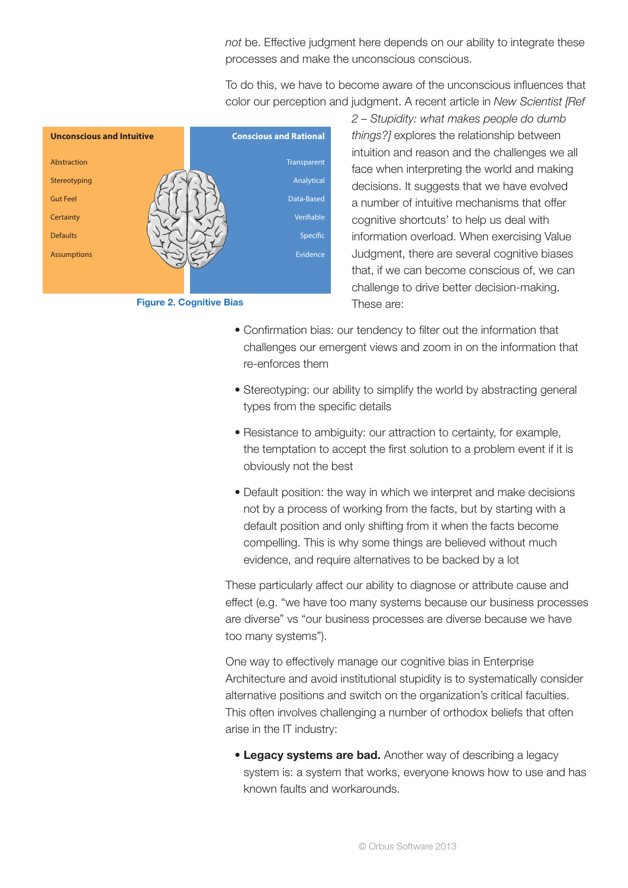*not* be. Effective judgment here depends on our ability to integrate these processes and make the unconscious conscious.

To do this, we have to become aware of the unconscious influences that color our perception and judgment. A recent article in *New Scientist [Ref* 





*2 – Stupidity: what makes people do dumb things?]* explores the relationship between intuition and reason and the challenges we all face when interpreting the world and making decisions. It suggests that we have evolved a number of intuitive mechanisms that offer cognitive shortcuts' to help us deal with information overload. When exercising Value Judgment, there are several cognitive biases that, if we can become conscious of, we can challenge to drive better decision-making. These are:

- Confirmation bias: our tendency to filter out the information that challenges our emergent views and zoom in on the information that re-enforces them
- Stereotyping: our ability to simplify the world by abstracting general types from the specific details
- Resistance to ambiguity: our attraction to certainty, for example, the temptation to accept the first solution to a problem event if it is obviously not the best
- Default position: the way in which we interpret and make decisions not by a process of working from the facts, but by starting with a default position and only shifting from it when the facts become compelling. This is why some things are believed without much evidence, and require alternatives to be backed by a lot

These particularly affect our ability to diagnose or attribute cause and effect (e.g. "we have too many systems because our business processes are diverse" vs "our business processes are diverse because we have too many systems").

One way to effectively manage our cognitive bias in Enterprise Architecture and avoid institutional stupidity is to systematically consider alternative positions and switch on the organization's critical faculties. This often involves challenging a number of orthodox beliefs that often arise in the IT industry:

 • **Legacy systems are bad.** Another way of describing a legacy system is: a system that works, everyone knows how to use and has known faults and workarounds.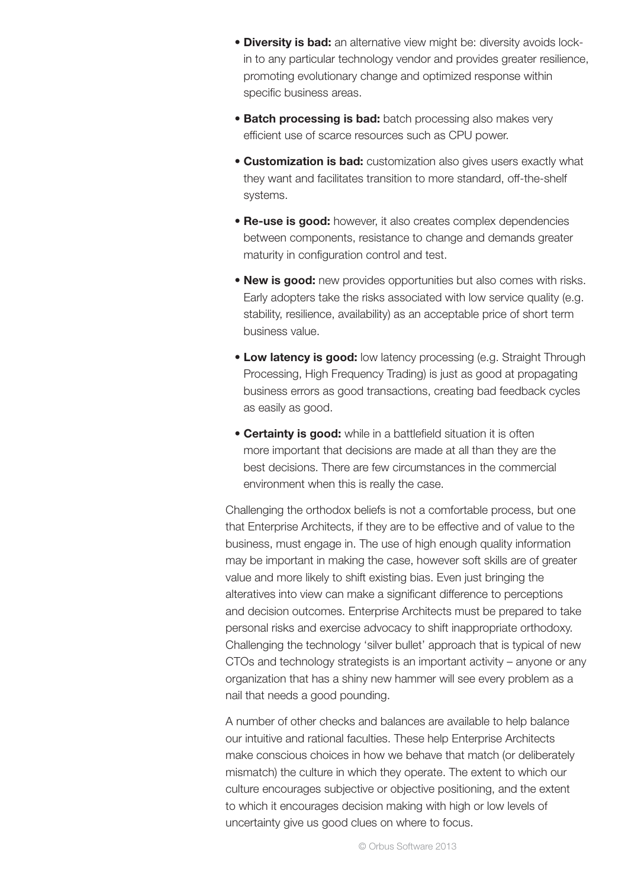- **Diversity is bad:** an alternative view might be: diversity avoids lockin to any particular technology vendor and provides greater resilience, promoting evolutionary change and optimized response within specific business areas.
- **Batch processing is bad:** batch processing also makes very efficient use of scarce resources such as CPU power.
- **Customization is bad:** customization also gives users exactly what they want and facilitates transition to more standard, off-the-shelf systems.
- **Re-use is good:** however, it also creates complex dependencies between components, resistance to change and demands greater maturity in configuration control and test.
- **New is good:** new provides opportunities but also comes with risks. Early adopters take the risks associated with low service quality (e.g. stability, resilience, availability) as an acceptable price of short term business value.
- **Low latency is good:** low latency processing (e.g. Straight Through Processing, High Frequency Trading) is just as good at propagating business errors as good transactions, creating bad feedback cycles as easily as good.
- **Certainty is good:** while in a battlefield situation it is often more important that decisions are made at all than they are the best decisions. There are few circumstances in the commercial environment when this is really the case.

Challenging the orthodox beliefs is not a comfortable process, but one that Enterprise Architects, if they are to be effective and of value to the business, must engage in. The use of high enough quality information may be important in making the case, however soft skills are of greater value and more likely to shift existing bias. Even just bringing the alteratives into view can make a significant difference to perceptions and decision outcomes. Enterprise Architects must be prepared to take personal risks and exercise advocacy to shift inappropriate orthodoxy. Challenging the technology 'silver bullet' approach that is typical of new CTOs and technology strategists is an important activity – anyone or any organization that has a shiny new hammer will see every problem as a nail that needs a good pounding.

A number of other checks and balances are available to help balance our intuitive and rational faculties. These help Enterprise Architects make conscious choices in how we behave that match (or deliberately mismatch) the culture in which they operate. The extent to which our culture encourages subjective or objective positioning, and the extent to which it encourages decision making with high or low levels of uncertainty give us good clues on where to focus.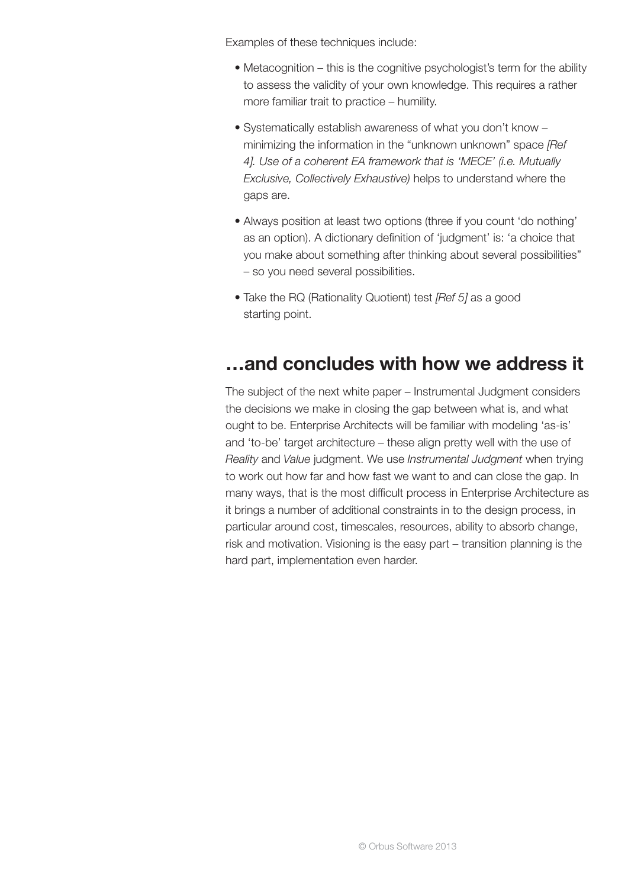Examples of these techniques include:

- Metacognition this is the cognitive psychologist's term for the ability to assess the validity of your own knowledge. This requires a rather more familiar trait to practice – humility.
- Systematically establish awareness of what you don't know minimizing the information in the "unknown unknown" space *[Ref 4]. Use of a coherent EA framework that is 'MECE' (i.e. Mutually Exclusive, Collectively Exhaustive)* helps to understand where the gaps are.
- Always position at least two options (three if you count 'do nothing' as an option). A dictionary definition of 'judgment' is: 'a choice that you make about something after thinking about several possibilities" – so you need several possibilities.
- Take the RQ (Rationality Quotient) test *[Ref 5]* as a good starting point.

## **…and concludes with how we address it**

The subject of the next white paper – Instrumental Judgment considers the decisions we make in closing the gap between what is, and what ought to be. Enterprise Architects will be familiar with modeling 'as-is' and 'to-be' target architecture – these align pretty well with the use of *Reality* and *Value* judgment. We use *Instrumental Judgment* when trying to work out how far and how fast we want to and can close the gap. In many ways, that is the most difficult process in Enterprise Architecture as it brings a number of additional constraints in to the design process, in particular around cost, timescales, resources, ability to absorb change, risk and motivation. Visioning is the easy part – transition planning is the hard part, implementation even harder.